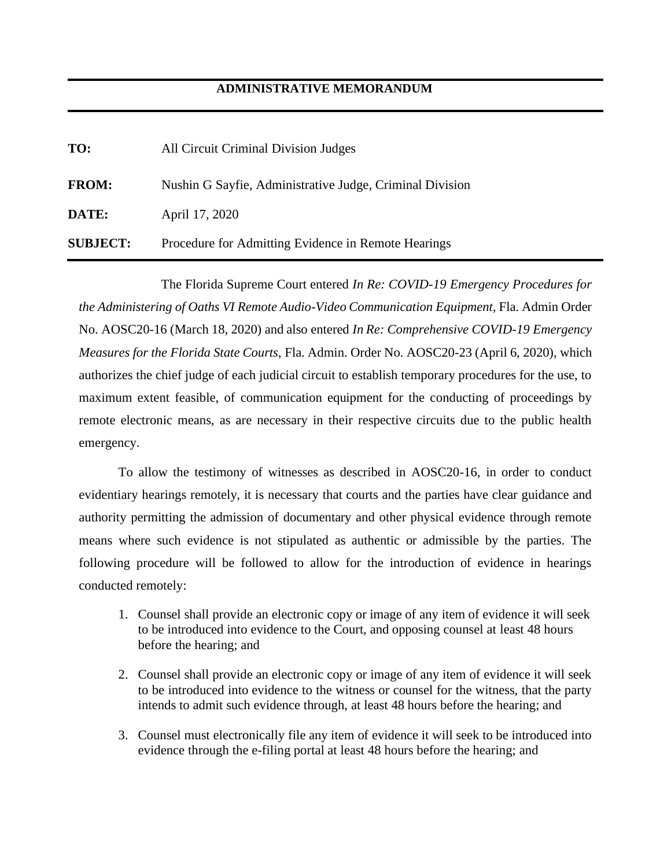## **ADMINISTRATIVE MEMORANDUM**

| TO:             | All Circuit Criminal Division Judges                     |
|-----------------|----------------------------------------------------------|
| <b>FROM:</b>    | Nushin G Sayfie, Administrative Judge, Criminal Division |
| DATE:           | April 17, 2020                                           |
| <b>SUBJECT:</b> | Procedure for Admitting Evidence in Remote Hearings      |

The Florida Supreme Court entered *In Re: COVID-19 Emergency Procedures for the Administering of Oaths VI Remote Audio-Video Communication Equipment,* Fla. Admin Order No. AOSC20-16 (March 18, 2020) and also entered *In Re: Comprehensive COVID-19 Emergency Measures for the Florida State Courts,* Fla. Admin. Order No. AOSC20-23 (April 6, 2020), which authorizes the chief judge of each judicial circuit to establish temporary procedures for the use, to maximum extent feasible, of communication equipment for the conducting of proceedings by remote electronic means, as are necessary in their respective circuits due to the public health emergency.

To allow the testimony of witnesses as described in AOSC20-16, in order to conduct evidentiary hearings remotely, it is necessary that courts and the parties have clear guidance and authority permitting the admission of documentary and other physical evidence through remote means where such evidence is not stipulated as authentic or admissible by the parties. The following procedure will be followed to allow for the introduction of evidence in hearings conducted remotely:

- 1. Counsel shall provide an electronic copy or image of any item of evidence it will seek to be introduced into evidence to the Court, and opposing counsel at least 48 hours before the hearing; and
- 2. Counsel shall provide an electronic copy or image of any item of evidence it will seek to be introduced into evidence to the witness or counsel for the witness, that the party intends to admit such evidence through, at least 48 hours before the hearing; and
- 3. Counsel must electronically file any item of evidence it will seek to be introduced into evidence through the e-filing portal at least 48 hours before the hearing; and